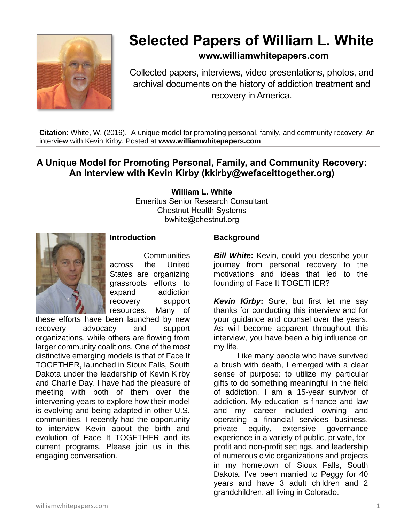

# **Selected Papers of William L. White**

# **www.williamwhitepapers.com**

Collected papers, interviews, video presentations, photos, and archival documents on the history of addiction treatment and recovery in America.

**Citation**: White, W. (2016). A unique model for promoting personal, family, and community recovery: An interview with Kevin Kirby. Posted at **www.williamwhitepapers.com**

# **A Unique Model for Promoting Personal, Family, and Community Recovery: An Interview with Kevin Kirby (kkirby@wefaceittogether.org)**

**William L. White** Emeritus Senior Research Consultant Chestnut Health Systems bwhite@chestnut.org



#### **Introduction**

**Communities** across the United States are organizing grassroots efforts to expand addiction recovery support resources. Many of

these efforts have been launched by new recovery advocacy and support organizations, while others are flowing from larger community coalitions. One of the most distinctive emerging models is that of Face It TOGETHER, launched in Sioux Falls, South Dakota under the leadership of Kevin Kirby and Charlie Day. I have had the pleasure of meeting with both of them over the intervening years to explore how their model is evolving and being adapted in other U.S. communities. I recently had the opportunity to interview Kevin about the birth and evolution of Face It TOGETHER and its current programs. Please join us in this engaging conversation.

## **Background**

**Bill White:** Kevin, could you describe your journey from personal recovery to the motivations and ideas that led to the founding of Face It TOGETHER?

*Kevin Kirby***:** Sure, but first let me say thanks for conducting this interview and for your guidance and counsel over the years. As will become apparent throughout this interview, you have been a big influence on my life.

Like many people who have survived a brush with death, I emerged with a clear sense of purpose: to utilize my particular gifts to do something meaningful in the field of addiction. I am a 15-year survivor of addiction. My education is finance and law and my career included owning and operating a financial services business, private equity, extensive governance experience in a variety of public, private, forprofit and non-profit settings, and leadership of numerous civic organizations and projects in my hometown of Sioux Falls, South Dakota. I've been married to Peggy for 40 years and have 3 adult children and 2 grandchildren, all living in Colorado.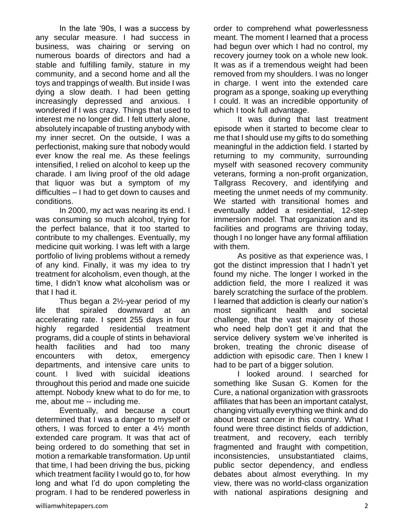In the late '90s, I was a success by any secular measure. I had success in business, was chairing or serving on numerous boards of directors and had a stable and fulfilling family, stature in my community, and a second home and all the toys and trappings of wealth. But inside I was dying a slow death. I had been getting increasingly depressed and anxious. I wondered if I was crazy. Things that used to interest me no longer did. I felt utterly alone, absolutely incapable of trusting anybody with my inner secret. On the outside, I was a perfectionist, making sure that nobody would ever know the real me. As these feelings intensified, I relied on alcohol to keep up the charade. I am living proof of the old adage that liquor was but a symptom of my difficulties – I had to get down to causes and conditions.

In 2000, my act was nearing its end. I was consuming so much alcohol, trying for the perfect balance, that it too started to contribute to my challenges. Eventually, my medicine quit working. I was left with a large portfolio of living problems without a remedy of any kind. Finally, it was my idea to try treatment for alcoholism, even though, at the time, I didn't know what alcoholism was or that I had it.

Thus began a 2½-year period of my life that spiraled downward at an accelerating rate. I spent 255 days in four highly regarded residential treatment programs, did a couple of stints in behavioral health facilities and had too many encounters with detox, emergency departments, and intensive care units to count. I lived with suicidal ideations throughout this period and made one suicide attempt. Nobody knew what to do for me, to me, about me -- including me.

Eventually, and because a court determined that I was a danger to myself or others, I was forced to enter a 4½ month extended care program. It was that act of being ordered to do something that set in motion a remarkable transformation. Up until that time, I had been driving the bus, picking which treatment facility I would go to, for how long and what I'd do upon completing the program. I had to be rendered powerless in order to comprehend what powerlessness meant. The moment I learned that a process had begun over which I had no control, my recovery journey took on a whole new look. It was as if a tremendous weight had been removed from my shoulders. I was no longer in charge. I went into the extended care program as a sponge, soaking up everything I could. It was an incredible opportunity of which I took full advantage.

It was during that last treatment episode when it started to become clear to me that I should use my gifts to do something meaningful in the addiction field. I started by returning to my community, surrounding myself with seasoned recovery community veterans, forming a non-profit organization, Tallgrass Recovery, and identifying and meeting the unmet needs of my community. We started with transitional homes and eventually added a residential, 12-step immersion model. That organization and its facilities and programs are thriving today, though I no longer have any formal affiliation with them.

As positive as that experience was, I got the distinct impression that I hadn't yet found my niche. The longer I worked in the addiction field, the more I realized it was barely scratching the surface of the problem. I learned that addiction is clearly our nation's most significant health and societal challenge, that the vast majority of those who need help don't get it and that the service delivery system we've inherited is broken, treating the chronic disease of addiction with episodic care. Then I knew I had to be part of a bigger solution.

I looked around. I searched for something like Susan G. Komen for the Cure, a national organization with grassroots affiliates that has been an important catalyst, changing virtually everything we think and do about breast cancer in this country. What I found were three distinct fields of addiction, treatment, and recovery, each terribly fragmented and fraught with competition, inconsistencies, unsubstantiated claims, public sector dependency, and endless debates about almost everything. In my view, there was no world-class organization with national aspirations designing and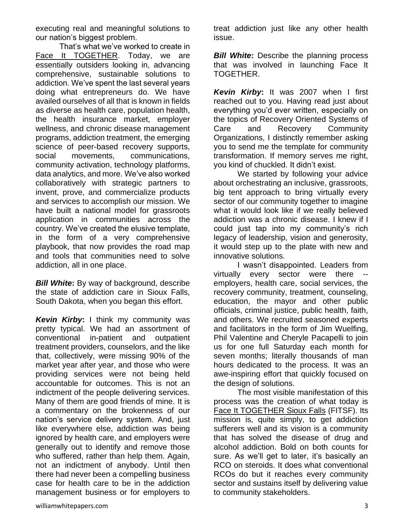executing real and meaningful solutions to our nation's biggest problem.

That's what we've worked to create in [Face It TOGETHER.](http://www.wefaceittogether.org/) Today, we are essentially outsiders looking in, advancing comprehensive, sustainable solutions to addiction. We've spent the last several years doing what entrepreneurs do. We have availed ourselves of all that is known in fields as diverse as health care, population health, the health insurance market, employer wellness, and chronic disease management programs, addiction treatment, the emerging science of peer-based recovery supports, social movements, communications, community activation, technology platforms, data analytics, and more. We've also worked collaboratively with strategic partners to invent, prove, and commercialize products and services to accomplish our mission. We have built a national model for grassroots application in communities across the country. We've created the elusive template, in the form of a very comprehensive playbook, that now provides the road map and tools that communities need to solve addiction, all in one place.

*Bill White***:** By way of background, describe the state of addiction care in Sioux Falls, South Dakota, when you began this effort.

**Kevin Kirby:** I think my community was pretty typical. We had an assortment of conventional in-patient and outpatient treatment providers, counselors, and the like that, collectively, were missing 90% of the market year after year, and those who were providing services were not being held accountable for outcomes. This is not an indictment of the people delivering services. Many of them are good friends of mine. It is a commentary on the brokenness of our nation's service delivery system. And, just like everywhere else, addiction was being ignored by health care, and employers were generally out to identify and remove those who suffered, rather than help them. Again, not an indictment of anybody. Until then there had never been a compelling business case for health care to be in the addiction management business or for employers to

treat addiction just like any other health issue.

*Bill White:* Describe the planning process that was involved in launching Face It TOGETHER.

*Kevin Kirby***:** It was 2007 when I first reached out to you. Having read just about everything you'd ever written, especially on the topics of Recovery Oriented Systems of Care and Recovery Community Organizations, I distinctly remember asking you to send me the template for community transformation. If memory serves me right, you kind of chuckled. It didn't exist.

We started by following your advice about orchestrating an inclusive, grassroots, big tent approach to bring virtually every sector of our community together to imagine what it would look like if we really believed addiction was a chronic disease. I knew if I could just tap into my community's rich legacy of leadership, vision and generosity, it would step up to the plate with new and innovative solutions.

I wasn't disappointed. Leaders from virtually every sector were there - employers, health care, social services, the recovery community, treatment, counseling, education, the mayor and other public officials, criminal justice, public health, faith, and others. We recruited seasoned experts and facilitators in the form of Jim Wuelfing, Phil Valentine and Cheryle Pacapelli to join us for one full Saturday each month for seven months; literally thousands of man hours dedicated to the process. It was an awe-inspiring effort that quickly focused on the design of solutions.

The most visible manifestation of this process was the creation of what today is [Face It TOGETHER Sioux Falls](http://www.faceitsiouxfalls.org/) (FITSF). Its mission is, quite simply, to get addiction sufferers well and its vision is a community that has solved the disease of drug and alcohol addiction. Bold on both counts for sure. As we'll get to later, it's basically an RCO on steroids. It does what conventional RCOs do but it reaches every community sector and sustains itself by delivering value to community stakeholders.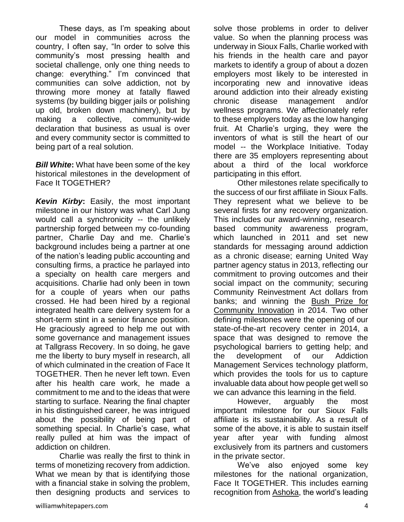These days, as I'm speaking about our model in communities across the country, I often say, "In order to solve this community's most pressing health and societal challenge, only one thing needs to change: everything." I'm convinced that communities can solve addiction, not by throwing more money at fatally flawed systems (by building bigger jails or polishing up old, broken down machinery), but by making a collective, community-wide declaration that business as usual is over and every community sector is committed to being part of a real solution.

*Bill White***:** What have been some of the key historical milestones in the development of Face It TOGETHER?

*Kevin Kirby***:** Easily, the most important milestone in our history was what Carl Jung would call a synchronicity -- the unlikely partnership forged between my co-founding partner, Charlie Day and me. Charlie's background includes being a partner at one of the nation's leading public accounting and consulting firms, a practice he parlayed into a specialty on health care mergers and acquisitions. Charlie had only been in town for a couple of years when our paths crossed. He had been hired by a regional integrated health care delivery system for a short-term stint in a senior finance position. He graciously agreed to help me out with some governance and management issues at Tallgrass Recovery. In so doing, he gave me the liberty to bury myself in research, all of which culminated in the creation of Face It TOGETHER. Then he never left town. Even after his health care work, he made a commitment to me and to the ideas that were starting to surface. Nearing the final chapter in his distinguished career, he was intrigued about the possibility of being part of something special. In Charlie's case, what really pulled at him was the impact of addiction on children.

Charlie was really the first to think in terms of monetizing recovery from addiction. What we mean by that is identifying those with a financial stake in solving the problem. then designing products and services to

value. So when the planning process was underway in Sioux Falls, Charlie worked with his friends in the health care and payor markets to identify a group of about a dozen employers most likely to be interested in incorporating new and innovative ideas around addiction into their already existing chronic disease management and/or wellness programs. We affectionately refer to these employers today as the low hanging fruit. At Charlie's urging, they were the inventors of what is still the heart of our model -- the Workplace Initiative. Today there are 35 employers representing about about a third of the local workforce participating in this effort. Other milestones relate specifically to

solve those problems in order to deliver

the success of our first affiliate in Sioux Falls. They represent what we believe to be several firsts for any recovery organization. This includes our award-winning, researchbased community awareness program, which launched in 2011 and set new standards for messaging around addiction as a chronic disease; earning United Way partner agency status in 2013, reflecting our commitment to proving outcomes and their social impact on the community; securing Community Reinvestment Act dollars from banks; and winning the [Bush Prize for](https://www.bushfoundation.org/grantees/face-it-together-sioux-falls-0)  [Community Innovation](https://www.bushfoundation.org/grantees/face-it-together-sioux-falls-0) in 2014. Two other defining milestones were the opening of our state-of-the-art recovery center in 2014, a space that was designed to remove the psychological barriers to getting help; and the development of our Addiction Management Services technology platform, which provides the tools for us to capture invaluable data about how people get well so we can advance this learning in the field.

However, arguably the most important milestone for our Sioux Falls affiliate is its sustainability. As a result of some of the above, it is able to sustain itself year after year with funding almost exclusively from its partners and customers in the private sector.

We've also enjoyed some key milestones for the national organization, Face It TOGETHER. This includes earning recognition from [Ashoka,](http://www.ashoka.org/fellow/kevin-kirby) the world's leading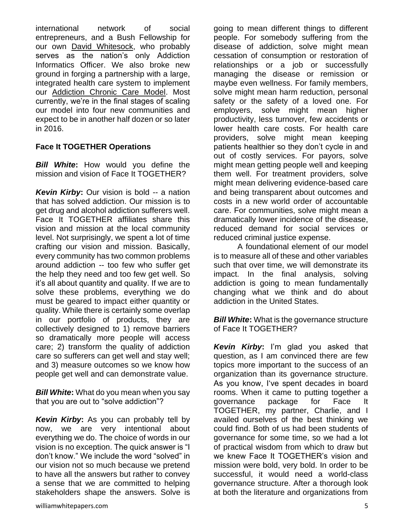international network of social entrepreneurs, and a Bush Fellowship for our own [David Whitesock,](http://www.wefaceittogether.org/why-face-it-together/our-team/david-whitesock) who probably serves as the nation's only Addiction Informatics Officer. We also broke new ground in forging a partnership with a large, integrated health care system to implement our [Addiction Chronic Care Model.](http://www.wefaceittogether.org/what-we-do/mainstream-addiction-care) Most currently, we're in the final stages of scaling our model into four new communities and expect to be in another half dozen or so later in 2016.

## **Face It TOGETHER Operations**

*Bill White***:** How would you define the mission and vision of Face It TOGETHER?

*Kevin Kirby***:** Our vision is bold -- a nation that has solved addiction. Our mission is to get drug and alcohol addiction sufferers well. Face It TOGETHER affiliates share this vision and mission at the local community level. Not surprisingly, we spent a lot of time crafting our vision and mission. Basically, every community has two common problems around addiction -- too few who suffer get the help they need and too few get well. So it's all about quantity and quality. If we are to solve these problems, everything we do must be geared to impact either quantity or quality. While there is certainly some overlap in our portfolio of products, they are collectively designed to 1) remove barriers so dramatically more people will access care; 2) transform the quality of addiction care so sufferers can get well and stay well; and 3) measure outcomes so we know how people get well and can demonstrate value.

*Bill White***:** What do you mean when you say that you are out to "solve addiction"?

*Kevin Kirby***:** As you can probably tell by now, we are very intentional about everything we do. The choice of words in our vision is no exception. The quick answer is "I don't know." We include the word "solved" in our vision not so much because we pretend to have all the answers but rather to convey a sense that we are committed to helping stakeholders shape the answers. Solve is going to mean different things to different people. For somebody suffering from the disease of addiction, solve might mean cessation of consumption or restoration of relationships or a job or successfully managing the disease or remission or maybe even wellness. For family members, solve might mean harm reduction, personal safety or the safety of a loved one. For employers, solve might mean higher productivity, less turnover, few accidents or lower health care costs. For health care providers, solve might mean keeping patients healthier so they don't cycle in and out of costly services. For payors, solve might mean getting people well and keeping them well. For treatment providers, solve might mean delivering evidence-based care and being transparent about outcomes and costs in a new world order of accountable care. For communities, solve might mean a dramatically lower incidence of the disease, reduced demand for social services or reduced criminal justice expense.

A foundational element of our model is to measure all of these and other variables such that over time, we will demonstrate its impact. In the final analysis, solving addiction is going to mean fundamentally changing what we think and do about addiction in the United States.

*Bill White***:** What is the governance structure of Face It TOGETHER?

*Kevin Kirby***:** I'm glad you asked that question, as I am convinced there are few topics more important to the success of an organization than its governance structure. As you know, I've spent decades in board rooms. When it came to putting together a governance package for Face It TOGETHER, my partner, Charlie, and I availed ourselves of the best thinking we could find. Both of us had been students of governance for some time, so we had a lot of practical wisdom from which to draw but we knew Face It TOGETHER's vision and mission were bold, very bold. In order to be successful, it would need a world-class governance structure. After a thorough look at both the literature and organizations from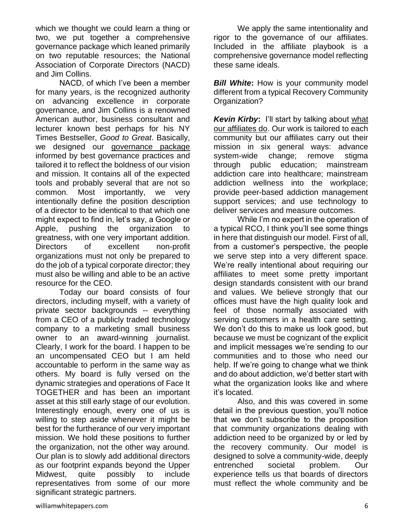which we thought we could learn a thing or two, we put together a comprehensive governance package which leaned primarily on two reputable resources; the National Association of Corporate Directors (NACD) and Jim Collins.

NACD, of which I've been a member for many years, is the recognized authority on advancing excellence in corporate governance, and Jim Collins is a renowned American author, business consultant and lecturer known best perhaps for his NY Times Bestseller, *Good to Great*. Basically, we designed our [governance package](http://www.wefaceittogether.org/about-us/governance) informed by best governance practices and tailored it to reflect the boldness of our vision and mission. It contains all of the expected tools and probably several that are not so common. Most importantly, we very intentionally define the position description of a director to be identical to that which one might expect to find in, let's say, a Google or Apple, pushing the organization to greatness, with one very important addition. Directors of excellent non-profit organizations must not only be prepared to do the job of a typical corporate director; they must also be willing and able to be an active resource for the CEO.

 Today our board consists of four directors, including myself, with a variety of private sector backgrounds -- everything from a CEO of a publicly traded technology company to a marketing small business owner to an award-winning journalist. Clearly, I work for the board. I happen to be an uncompensated CEO but I am held accountable to perform in the same way as others. My board is fully versed on the dynamic strategies and operations of Face It TOGETHER and has been an important asset at this still early stage of our evolution. Interestingly enough, every one of us is willing to step aside whenever it might be best for the furtherance of our very important mission. We hold these positions to further the organization, not the other way around. Our plan is to slowly add additional directors as our footprint expands beyond the Upper Midwest, quite possibly to include representatives from some of our more significant strategic partners.

We apply the same intentionality and rigor to the governance of our affiliates. Included in the affiliate playbook is a comprehensive governance model reflecting these same ideals.

*Bill White:* How is your community model different from a typical Recovery Community Organization?

*Kevin Kirby***:** I'll start by talking about [what](http://www.faceitsiouxfalls.org/about-us/annual-reports)  [our affiliates do.](http://www.faceitsiouxfalls.org/about-us/annual-reports) Our work is tailored to each community but our affiliates carry out their mission in six general ways: advance system-wide change; remove stigma through public education; mainstream addiction care into healthcare; mainstream addiction wellness into the workplace; provide peer-based addiction management support services; and use technology to deliver services and measure outcomes.

While I'm no expert in the operation of a typical RCO, I think you'll see some things in here that distinguish our model. First of all, from a customer's perspective, the people we serve step into a very different space. We're really intentional about requiring our affiliates to meet some pretty important design standards consistent with our brand and values. We believe strongly that our offices must have the high quality look and feel of those normally associated with serving customers in a health care setting. We don't do this to make us look good, but because we must be cognizant of the explicit and implicit messages we're sending to our communities and to those who need our help. If we're going to change what we think and do about addiction, we'd better start with what the organization looks like and where it's located.

Also, and this was covered in some detail in the previous question, you'll notice that we don't subscribe to the proposition that community organizations dealing with addiction need to be organized by or led by the recovery community. Our model is designed to solve a community-wide, deeply entrenched societal problem. Our experience tells us that boards of directors must reflect the whole community and be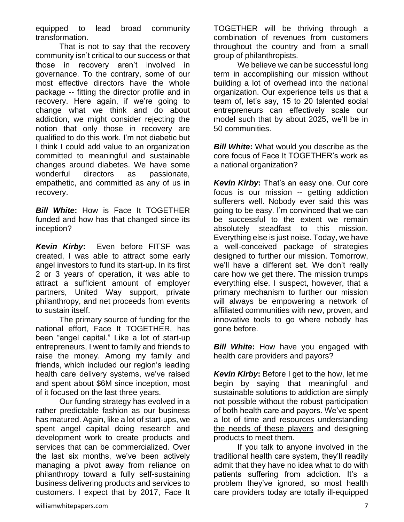equipped to lead broad community transformation.

That is not to say that the recovery community isn't critical to our success or that those in recovery aren't involved in governance. To the contrary, some of our most effective directors have the whole package -- fitting the director profile and in recovery. Here again, if we're going to change what we think and do about addiction, we might consider rejecting the notion that only those in recovery are qualified to do this work. I'm not diabetic but I think I could add value to an organization committed to meaningful and sustainable changes around diabetes. We have some wonderful directors as passionate, empathetic, and committed as any of us in recovery.

*Bill White***:** How is Face It TOGETHER funded and how has that changed since its inception?

*Kevin Kirby***:** Even before FITSF was created, I was able to attract some early angel investors to fund its start-up. In its first 2 or 3 years of operation, it was able to attract a sufficient amount of employer partners, United Way support, private philanthropy, and net proceeds from events to sustain itself.

The primary source of funding for the national effort, Face It TOGETHER, has been "angel capital." Like a lot of start-up entrepreneurs, I went to family and friends to raise the money. Among my family and friends, which included our region's leading health care delivery systems, we've raised and spent about \$6M since inception, most of it focused on the last three years.

Our funding strategy has evolved in a rather predictable fashion as our business has matured. Again, like a lot of start-ups, we spent angel capital doing research and development work to create products and services that can be commercialized. Over the last six months, we've been actively managing a pivot away from reliance on philanthropy toward a fully self-sustaining business delivering products and services to customers. I expect that by 2017, Face It TOGETHER will be thriving through a combination of revenues from customers throughout the country and from a small group of philanthropists.

We believe we can be successful long term in accomplishing our mission without building a lot of overhead into the national organization. Our experience tells us that a team of, let's say, 15 to 20 talented social entrepreneurs can effectively scale our model such that by about 2025, we'll be in 50 communities.

**Bill White:** What would you describe as the core focus of Face It TOGETHER's work as a national organization?

*Kevin Kirby***:** That's an easy one. Our core focus is our mission -- getting addiction sufferers well. Nobody ever said this was going to be easy. I'm convinced that we can be successful to the extent we remain absolutely steadfast to this mission. Everything else is just noise. Today, we have a well-conceived package of strategies designed to further our mission. Tomorrow, we'll have a different set. We don't really care how we get there. The mission trumps everything else. I suspect, however, that a primary mechanism to further our mission will always be empowering a network of affiliated communities with new, proven, and innovative tools to go where nobody has gone before.

**Bill White:** How have you engaged with health care providers and payors?

*Kevin Kirby***:** Before I get to the how, let me begin by saying that meaningful and sustainable solutions to addiction are simply not possible without the robust participation of both health care and payors. We've spent a lot of time and resources understanding [the needs of these players](https://hbr.org/2013/10/the-strategy-that-will-fix-health-care/) and designing products to meet them.

If you talk to anyone involved in the traditional health care system, they'll readily admit that they have no idea what to do with patients suffering from addiction. It's a problem they've ignored, so most health care providers today are totally ill-equipped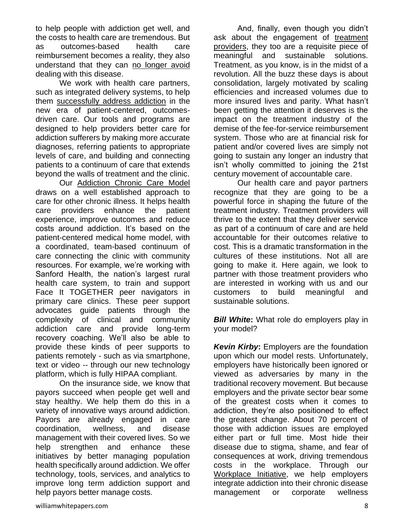to help people with addiction get well, and the costs to health care are tremendous. But as outcomes-based health care reimbursement becomes a reality, they also understand that they can [no longer avoid](http://www.wefaceittogether.org/news/resources/cain-brothers-industry-insights) dealing with this disease.

We work with health care partners, such as integrated delivery systems, to help them [successfully address addiction](http://www.wefaceittogether.org/what-we-do/mainstream-addiction-care) in the new era of patient-centered, outcomesdriven care. Our tools and programs are designed to help providers better care for addiction sufferers by making more accurate diagnoses, referring patients to appropriate levels of care, and building and connecting patients to a continuum of care that extends beyond the walls of treatment and the clinic.

Our [Addiction Chronic Care Model](http://www.wefaceittogether.org/what-we-do/mainstream-addiction-care/addiction-chronic-care-model) draws on a well established approach to care for other chronic illness. It helps health care providers enhance the patient experience, improve outcomes and reduce costs around addiction. It's based on the patient-centered medical home model, with a coordinated, team-based continuum of care connecting the clinic with community resources. For example, we're working with Sanford Health, the nation's largest rural health care system, to train and support Face It TOGETHER peer navigators in primary care clinics. These peer support advocates guide patients through the complexity of clinical and community addiction care and provide long-term recovery coaching. We'll also be able to provide these kinds of peer supports to patients remotely - such as via smartphone, text or video -- through our new technology platform, which is fully HIPAA compliant.

On the insurance side, we know that payors succeed when people get well and stay healthy. We help them do this in a variety of innovative ways around addiction. Payors are already engaged in care coordination, wellness, and disease management with their covered lives. So we help strengthen and enhance these initiatives by better managing population health specifically around addiction. We offer technology, tools, services, and analytics to improve long term addiction support and help payors better manage costs.

And, finally, even though you didn't ask about the engagement of [treatment](http://www.wefaceittogether.org/news/resources/the-future-of-addiction-treatment-in-the-united-states)  [providers,](http://www.wefaceittogether.org/news/resources/the-future-of-addiction-treatment-in-the-united-states) they too are a requisite piece of meaningful and sustainable solutions. Treatment, as you know, is in the midst of a revolution. All the buzz these days is about consolidation, largely motivated by scaling efficiencies and increased volumes due to more insured lives and parity. What hasn't been getting the attention it deserves is the impact on the treatment industry of the demise of the fee-for-service reimbursement system. Those who are at financial risk for patient and/or covered lives are simply not going to sustain any longer an industry that isn't wholly committed to joining the 21st century movement of accountable care.

Our health care and payor partners recognize that they are going to be a powerful force in shaping the future of the treatment industry. Treatment providers will thrive to the extent that they deliver service as part of a continuum of care and are held accountable for their outcomes relative to cost. This is a dramatic transformation in the cultures of these institutions. Not all are going to make it. Here again, we look to partner with those treatment providers who are interested in working with us and our customers to build meaningful and sustainable solutions.

*Bill White***:** What role do employers play in your model?

*Kevin Kirby***:** Employers are the foundation upon which our model rests. Unfortunately, employers have historically been ignored or viewed as adversaries by many in the traditional recovery movement. But because employers and the private sector bear some of the greatest costs when it comes to addiction, they're also positioned to effect the greatest change. About 70 percent of those with addiction issues are employed either part or full time. Most hide their disease due to stigma, shame, and fear of consequences at work, driving tremendous costs in the workplace. Through our [Workplace Initiative,](http://www.wefaceittogether.org/join-us/employers) we help employers integrate addiction into their chronic disease management or corporate wellness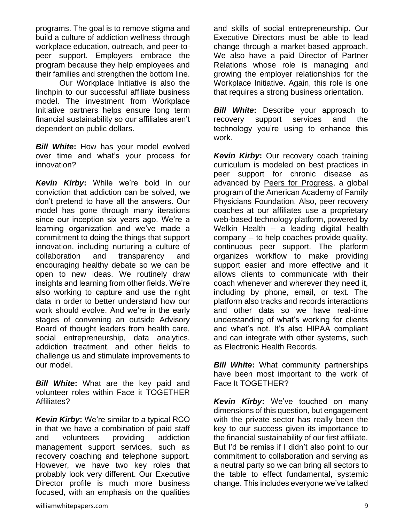programs. The goal is to remove stigma and build a culture of addiction wellness through workplace education, outreach, and peer-topeer support. Employers embrace the program because they help employees and their families and strengthen the bottom line.

Our Workplace Initiative is also the linchpin to our successful affiliate business model. The investment from Workplace Initiative partners helps ensure long term financial sustainability so our affiliates aren't dependent on public dollars.

**Bill White:** How has your model evolved over time and what's your process for innovation?

*Kevin Kirby***:** While we're bold in our conviction that addiction can be solved, we don't pretend to have all the answers. Our model has gone through many iterations since our inception six years ago. We're a learning organization and we've made a commitment to doing the things that support innovation, including nurturing a culture of collaboration and transparency and encouraging healthy debate so we can be open to new ideas. We routinely draw insights and learning from other fields. We're also working to capture and use the right data in order to better understand how our work should evolve. And we're in the early stages of convening an outside Advisory Board of thought leaders from health care, social entrepreneurship, data analytics, addiction treatment, and other fields to challenge us and stimulate improvements to our model.

*Bill White***:** What are the key paid and volunteer roles within Face it TOGETHER Affiliates?

*Kevin Kirby***:** We're similar to a typical RCO in that we have a combination of paid staff and volunteers providing addiction management support services, such as recovery coaching and telephone support. However, we have two key roles that probably look very different. Our Executive Director profile is much more business focused, with an emphasis on the qualities

and skills of social entrepreneurship. Our Executive Directors must be able to lead change through a market-based approach. We also have a paid Director of Partner Relations whose role is managing and growing the employer relationships for the Workplace Initiative. Again, this role is one that requires a strong business orientation.

*Bill White***:** Describe your approach to recovery support services and the technology you're using to enhance this work.

*Kevin Kirby***:** Our recovery coach training curriculum is modeled on best practices in peer support for chronic disease as advanced by [Peers for Progress,](http://peersforprogress.org/) a global program of the American Academy of Family Physicians Foundation. Also, peer recovery coaches at our affiliates use a proprietary web-based technology platform, powered by Welkin Health -- a leading digital health company -- to help coaches provide quality, continuous peer support. The platform organizes workflow to make providing support easier and more effective and it allows clients to communicate with their coach whenever and wherever they need it, including by phone, email, or text. The platform also tracks and records interactions and other data so we have real-time understanding of what's working for clients and what's not. It's also HIPAA compliant and can integrate with other systems, such as Electronic Health Records.

*Bill White*: What community partnerships have been most important to the work of Face It TOGETHER?

*Kevin Kirby***:** We've touched on many dimensions of this question, but engagement with the private sector has really been the key to our success given its importance to the financial sustainability of our first affiliate. But I'd be remiss if I didn't also point to our commitment to collaboration and serving as a neutral party so we can bring all sectors to the table to effect fundamental, systemic change. This includes everyone we've talked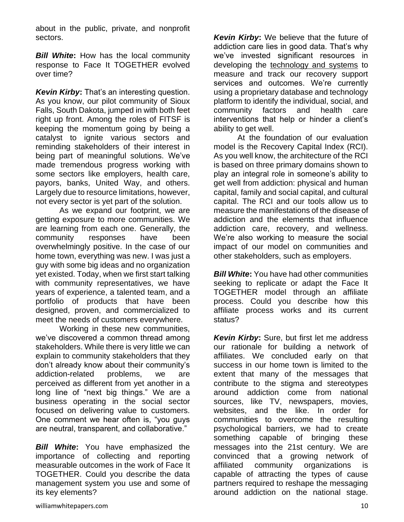about in the public, private, and nonprofit sectors.

*Bill White:* How has the local community response to Face It TOGETHER evolved over time?

*Kevin Kirby***:** That's an interesting question. As you know, our pilot community of Sioux Falls, South Dakota, jumped in with both feet right up front. Among the roles of FITSF is keeping the momentum going by being a catalyst to ignite various sectors and reminding stakeholders of their interest in being part of meaningful solutions. We've made tremendous progress working with some sectors like employers, health care, payors, banks, United Way, and others. Largely due to resource limitations, however, not every sector is yet part of the solution.

As we expand our footprint, we are getting exposure to more communities. We are learning from each one. Generally, the community responses have been overwhelmingly positive. In the case of our home town, everything was new. I was just a guy with some big ideas and no organization yet existed. Today, when we first start talking with community representatives, we have years of experience, a talented team, and a portfolio of products that have been designed, proven, and commercialized to meet the needs of customers everywhere.

Working in these new communities, we've discovered a common thread among stakeholders. While there is very little we can explain to community stakeholders that they don't already know about their community's addiction-related problems, we are perceived as different from yet another in a long line of "next big things." We are a business operating in the social sector focused on delivering value to customers. One comment we hear often is, "you guys are neutral, transparent, and collaborative."

*Bill White***:** You have emphasized the importance of collecting and reporting measurable outcomes in the work of Face It TOGETHER. Could you describe the data management system you use and some of its key elements?

*Kevin Kirby***:** We believe that the future of addiction care lies in good data. That's why we've invested significant resources in developing the [technology and systems](http://www.wefaceittogether.org/what-we-do/population-health-management) to measure and track our recovery support services and outcomes. We're currently using a proprietary database and technology platform to identify the individual, social, and community factors and health care interventions that help or hinder a client's ability to get well.

At the foundation of our evaluation model is the Recovery Capital Index (RCI). As you well know, the architecture of the RCI is based on three primary domains shown to play an integral role in someone's ability to get well from addiction: physical and human capital, family and social capital, and cultural capital. The RCI and our tools allow us to measure the manifestations of the disease of addiction and the elements that influence addiction care, recovery, and wellness. We're also working to measure the social impact of our model on communities and other stakeholders, such as employers.

*Bill White***:** You have had other communities seeking to replicate or adapt the Face It TOGETHER model through an affiliate process. Could you describe how this affiliate process works and its current status?

*Kevin Kirby***:** Sure, but first let me address our rationale for building a network of affiliates. We concluded early on that success in our home town is limited to the extent that many of the messages that contribute to the stigma and stereotypes around addiction come from national sources, like TV, newspapers, movies, websites, and the like. In order for communities to overcome the resulting psychological barriers, we had to create something capable of bringing these messages into the 21st century. We are convinced that a growing network of affiliated community organizations is capable of attracting the types of cause partners required to reshape the messaging around addiction on the national stage.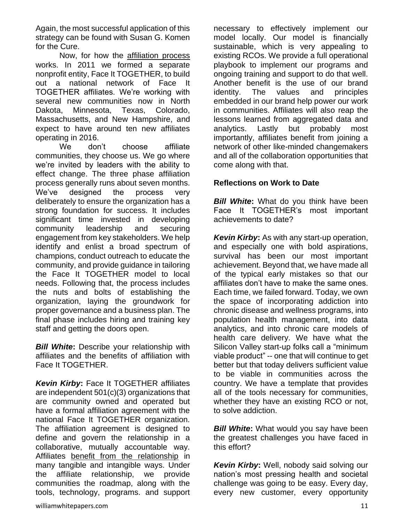Again, the most successful application of this strategy can be found with Susan G. Komen for the Cure.

Now, for how the [affiliation process](http://www.wefaceittogether.org/become-an-affiliate) works. In 2011 we formed a separate nonprofit entity, Face It TOGETHER, to build out a national network of Face It TOGETHER affiliates. We're working with several new communities now in North Dakota, Minnesota, Texas, Colorado, Massachusetts, and New Hampshire, and expect to have around ten new affiliates operating in 2016.

We don't choose affiliate communities, they choose us. We go where we're invited by leaders with the ability to effect change. The three phase affiliation process generally runs about seven months. We've designed the process very deliberately to ensure the organization has a strong foundation for success. It includes significant time invested in developing community leadership and securing engagement from key stakeholders. We help identify and enlist a broad spectrum of champions, conduct outreach to educate the community, and provide guidance in tailoring the Face It TOGETHER model to local needs. Following that, the process includes the nuts and bolts of establishing the organization, laying the groundwork for proper governance and a business plan. The final phase includes hiring and training key staff and getting the doors open.

*Bill White***:** Describe your relationship with affiliates and the benefits of affiliation with Face It TOGETHER.

*Kevin Kirby***:** Face It TOGETHER affiliates are independent 501(c)(3) organizations that are community owned and operated but have a formal affiliation agreement with the national Face It TOGETHER organization. The affiliation agreement is designed to define and govern the relationship in a collaborative, mutually accountable way. Affiliates [benefit from the relationship](http://www.wefaceittogether.org/become-an-affiliate/affiliate-benefits) in many tangible and intangible ways. Under the affiliate relationship, we provide communities the roadmap, along with the tools, technology, programs. and support necessary to effectively implement our model locally. Our model is financially sustainable, which is very appealing to existing RCOs. We provide a full operational playbook to implement our programs and ongoing training and support to do that well. Another benefit is the use of our brand identity. The values and principles embedded in our brand help power our work in communities. Affiliates will also reap the lessons learned from aggregated data and analytics. Lastly but probably most importantly, affiliates benefit from joining a network of other like-minded changemakers and all of the collaboration opportunities that come along with that.

## **Reflections on Work to Date**

*Bill White:* What do you think have been Face It TOGETHER's most important achievements to date?

*Kevin Kirby***:** As with any start-up operation, and especially one with bold aspirations, survival has been our most important achievement. Beyond that, we have made all of the typical early mistakes so that our affiliates don't have to make the same ones. Each time, we failed forward. Today, we own the space of incorporating addiction into chronic disease and wellness programs, into population health management, into data analytics, and into chronic care models of health care delivery. We have what the Silicon Valley start-up folks call a "minimum viable product" -- one that will continue to get better but that today delivers sufficient value to be viable in communities across the country. We have a template that provides all of the tools necessary for communities, whether they have an existing RCO or not, to solve addiction.

*Bill White:* What would you say have been the greatest challenges you have faced in this effort?

*Kevin Kirby***:** Well, nobody said solving our nation's most pressing health and societal challenge was going to be easy. Every day, every new customer, every opportunity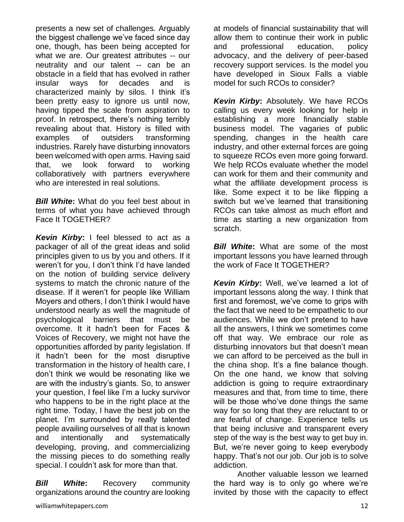presents a new set of challenges. Arguably the biggest challenge we've faced since day one, though, has been being accepted for what we are. Our greatest attributes -- our neutrality and our talent -- can be an obstacle in a field that has evolved in rather insular ways for decades and is characterized mainly by silos. I think it's been pretty easy to ignore us until now, having tipped the scale from aspiration to proof. In retrospect, there's nothing terribly revealing about that. History is filled with examples of outsiders transforming industries. Rarely have disturbing innovators been welcomed with open arms. Having said that, we look forward to working collaboratively with partners everywhere who are interested in real solutions.

*Bill White***:** What do you feel best about in terms of what you have achieved through Face It TOGETHER?

*Kevin Kirby***:** I feel blessed to act as a packager of all of the great ideas and solid principles given to us by you and others. If it weren't for you, I don't think I'd have landed on the notion of building service delivery systems to match the chronic nature of the disease. If it weren't for people like William Moyers and others, I don't think I would have understood nearly as well the magnitude of psychological barriers that must be overcome. It it hadn't been for Faces & Voices of Recovery, we might not have the opportunities afforded by parity legislation. If it hadn't been for the most disruptive transformation in the history of health care, I don't think we would be resonating like we are with the industry's giants. So, to answer your question, I feel like I'm a lucky survivor who happens to be in the right place at the right time. Today, I have the best job on the planet. I'm surrounded by really talented people availing ourselves of all that is known and intentionally and systematically developing, proving, and commercializing the missing pieces to do something really special. I couldn't ask for more than that.

*Bill White***:** Recovery community organizations around the country are looking

williamwhitepapers.com 12

at models of financial sustainability that will allow them to continue their work in public and professional education, policy advocacy, and the delivery of peer-based recovery support services. Is the model you have developed in Sioux Falls a viable model for such RCOs to consider?

*Kevin Kirby: Absolutely. We have RCOs* calling us every week looking for help in establishing a more financially stable business model. The vagaries of public spending, changes in the health care industry, and other external forces are going to squeeze RCOs even more going forward. We help RCOs evaluate whether the model can work for them and their community and what the affiliate development process is like. Some expect it to be like flipping a switch but we've learned that transitioning RCOs can take almost as much effort and time as starting a new organization from scratch.

*Bill White*: What are some of the most important lessons you have learned through the work of Face It TOGETHER?

*Kevin Kirby***:** Well, we've learned a lot of important lessons along the way. I think that first and foremost, we've come to grips with the fact that we need to be empathetic to our audiences. While we don't pretend to have all the answers, I think we sometimes come off that way. We embrace our role as disturbing innovators but that doesn't mean we can afford to be perceived as the bull in the china shop. It's a fine balance though. On the one hand, we know that solving addiction is going to require extraordinary measures and that, from time to time, there will be those who've done things the same way for so long that they are reluctant to or are fearful of change. Experience tells us that being inclusive and transparent every step of the way is the best way to get buy in. But, we're never going to keep everybody happy. That's not our job. Our job is to solve addiction.

Another valuable lesson we learned the hard way is to only go where we're invited by those with the capacity to effect